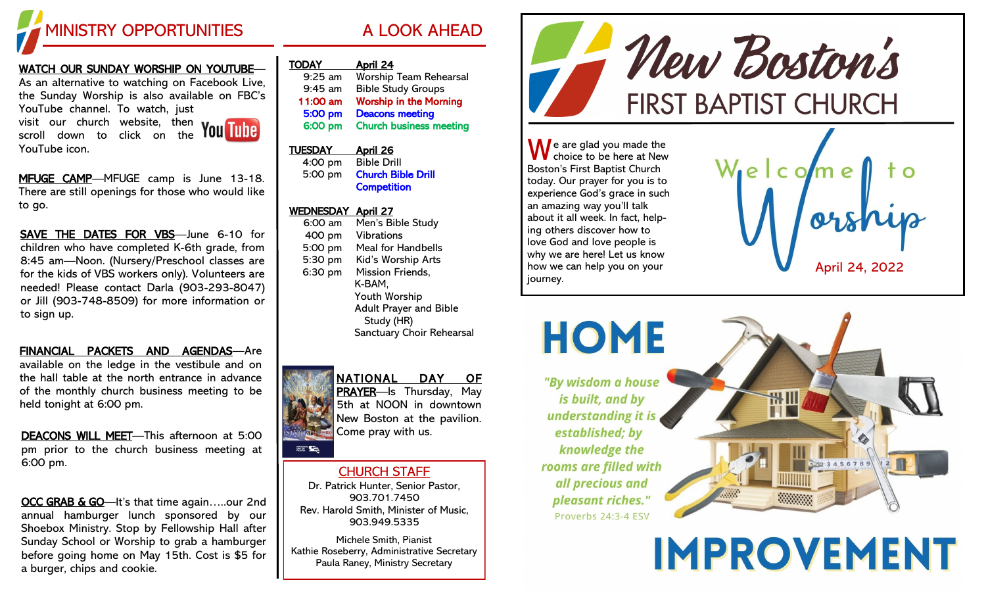

#### <u>WATCH OUR SUNDAY WORSHIP ON YOUTUBE</u>—

As an alternative to watching on Facebook Live, the Sunday Worship is also available on FBC's YouTube channel. To watch, just visit our church website, then

scroll down to click on the YouTube icon.



MFUGE CAMP-MFUGE camp is June 13-18. There are still openings for those who would like to go.

SAVE THE DATES FOR VBS-June 6-10 for children who have completed K -6th grade, from 8:45 am —Noon. (Nursery/Preschool classes are for the kids of VBS workers only). Volunteers are needed! Please contact Darla (903 -293 -8047) or Jill (903 -748 -8509) for more information or to sign up.

FINANCIAL PACKETS AND AGENDAS—Are available on the ledge in the vestibule and on the hall table at the north entrance in advance of the monthly church business meeting to be held tonight at 6:00 pm.

DEACONS WILL MEET—This afternoon at 5:00 pm prior to the church business meeting at 6:00 pm.

OCC GRAB & GO-It's that time again.....our 2nd annual hamburger lunch sponsored by our Shoebox Ministry. Stop by Fellowship Hall after Sunday School or Worship to grab a hamburger before going home on May 15th. Cost is \$5 for a burger, chips and cookie.

| <b>TODAY</b>   | <u>April 24</u>                |
|----------------|--------------------------------|
| 9:25 am        | <b>Worship Team Rehearsal</b>  |
| $9:45$ am      | <b>Bible Study Groups</b>      |
| 11:00 am       | <b>Worship in the Morning</b>  |
| 5:00 pm        | <b>Deacons meeting</b>         |
| 6:00 pm        | <b>Church business meeting</b> |
|                |                                |
| <b>TUESDAY</b> | April 26                       |

4:00 pm Bible Drill 5:00 pm Church Bible Drill Competition

#### WEDNESDAY April 27

6:00 am Men's Bible Study 400 pm Vibrations 5:00 pm Meal for Handbells 5:30 pm Kid's Worship Arts 6:30 pm Mission Friends, K-BAM, Youth Worship Adult Prayer and Bible Study (HR) Sanctuary Choir Rehearsal



**BATIONAL STATE** 

NATIONAL DAY OF PRAYER-Is Thursday, May 5th at NOON in downtown New Boston at the pavilion. Come pray with us.

### CHURCH STAFF

Dr. Patrick Hunter, Senior Pastor, 903.701.7450 Rev. Harold Smith, Minister of Music, 903.949.5335

Michele Smith, Pianist Kathie Roseberry, Administrative Secretary Paula Raney, Ministry Secretary



 $\bigwedge$  e are glad you made the choice to be here at New Boston's First Baptist Church today. Our prayer for you is to experience God's grace in such an amazing way you'll talk about it all week. In fact, helping others discover how to love God and love people is why we are here! Let us know how we can help you on your journey.





**IMPROVEMENT**